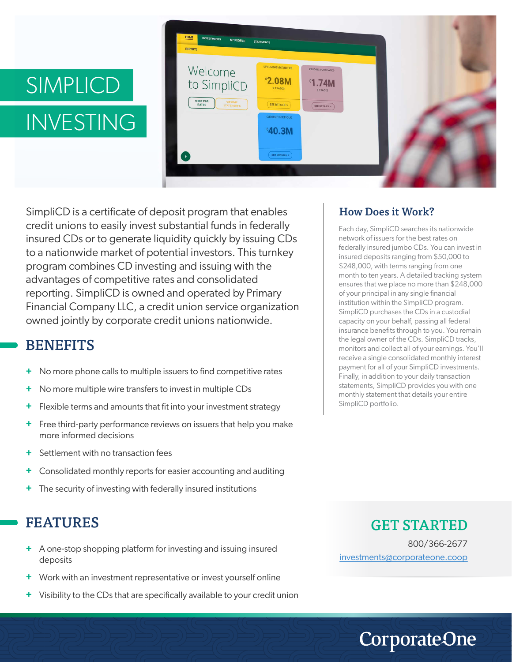# SIMPLICD INVESTING



SimpliCD is a certificate of deposit program that enables credit unions to easily invest substantial funds in federally insured CDs or to generate liquidity quickly by issuing CDs to a nationwide market of potential investors. This turnkey program combines CD investing and issuing with the advantages of competitive rates and consolidated reporting. SimpliCD is owned and operated by Primary Financial Company LLC, a credit union service organization owned jointly by corporate credit unions nationwide.

### **BENEFITS**

- No more phone calls to multiple issuers to find competitive rates **+**
- No more multiple wire transfers to invest in multiple CDs **+**
- Flexible terms and amounts that fit into your investment strategy **+**
- Free third-party performance reviews on issuers that help you make more informed decisions **+**
- Settlement with no transaction fees **+**
- Consolidated monthly reports for easier accounting and auditing **+**
- The security of investing with federally insured institutions **+**

## FEATURES

- A one-stop shopping platform for investing and issuing insured **+** deposits
- Work with an investment representative or invest yourself online **+**
- Visibility to the CDs that are specifically available to your credit union **+**

#### How Does it Work?

Each day, SimpliCD searches its nationwide network of issuers for the best rates on federally insured jumbo CDs. You can invest in insured deposits ranging from \$50,000 to \$248,000, with terms ranging from one month to ten years. A detailed tracking system ensures that we place no more than \$248,000 of your principal in any single financial institution within the SimpliCD program. SimpliCD purchases the CDs in a custodial capacity on your behalf, passing all federal insurance benefits through to you. You remain the legal owner of the CDs. SimpliCD tracks, monitors and collect all of your earnings. You'll receive a single consolidated monthly interest payment for all of your SimpliCD investments. Finally, in addition to your daily transaction statements, SimpliCD provides you with one monthly statement that details your entire SimpliCD portfolio.

#### GET STARTED

800/366-2677 investments@corporateone.coop

**CorporateOne**